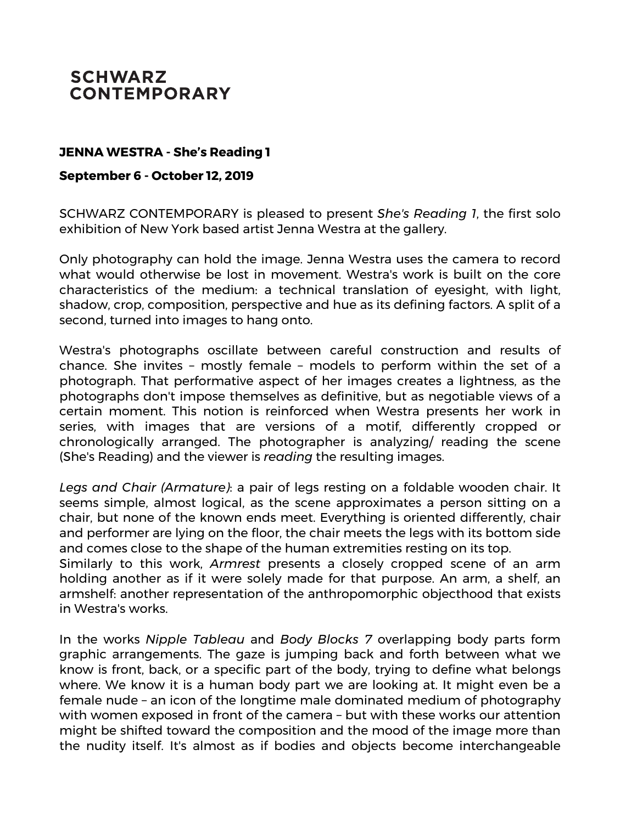## **SCHWARZ CONTEMPORARY**

## **JENNA WESTRA - She's Reading 1**

## **September 6 - October 12, 2019**

SCHWARZ CONTEMPORARY is pleased to present *She's Reading 1*, the first solo exhibition of New York based artist Jenna Westra at the gallery.

Only photography can hold the image. Jenna Westra uses the camera to record what would otherwise be lost in movement. Westra's work is built on the core characteristics of the medium: a technical translation of eyesight, with light, shadow, crop, composition, perspective and hue as its defining factors. A split of a second, turned into images to hang onto.

Westra's photographs oscillate between careful construction and results of chance. She invites – mostly female – models to perform within the set of a photograph. That performative aspect of her images creates a lightness, as the photographs don't impose themselves as definitive, but as negotiable views of a certain moment. This notion is reinforced when Westra presents her work in series, with images that are versions of a motif, differently cropped or chronologically arranged. The photographer is analyzing/ reading the scene (She's Reading) and the viewer is *reading* the resulting images.

*Legs and Chair (Armature)*: a pair of legs resting on a foldable wooden chair. It seems simple, almost logical, as the scene approximates a person sitting on a chair, but none of the known ends meet. Everything is oriented differently, chair and performer are lying on the floor, the chair meets the legs with its bottom side and comes close to the shape of the human extremities resting on its top.

Similarly to this work, *Armrest* presents a closely cropped scene of an arm holding another as if it were solely made for that purpose. An arm, a shelf, an armshelf: another representation of the anthropomorphic objecthood that exists in Westra's works.

In the works *Nipple Tableau* and *Body Blocks 7* overlapping body parts form graphic arrangements. The gaze is jumping back and forth between what we know is front, back, or a specific part of the body, trying to define what belongs where. We know it is a human body part we are looking at. It might even be a female nude – an icon of the longtime male dominated medium of photography with women exposed in front of the camera – but with these works our attention might be shifted toward the composition and the mood of the image more than the nudity itself. It's almost as if bodies and objects become interchangeable